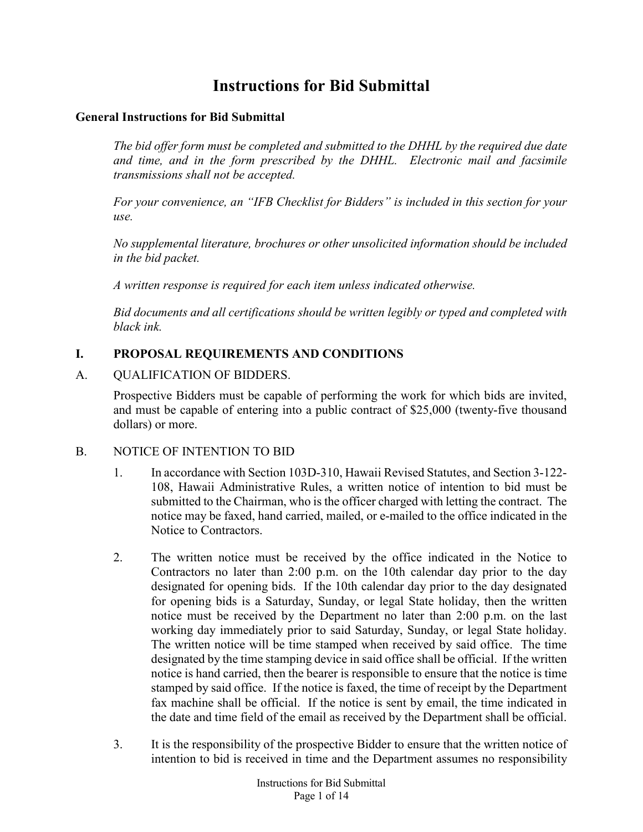# **Instructions for Bid Submittal**

## **General Instructions for Bid Submittal**

*The bid offer form must be completed and submitted to the DHHL by the required due date and time, and in the form prescribed by the DHHL. Electronic mail and facsimile transmissions shall not be accepted.*

*For your convenience, an "IFB Checklist for Bidders" is included in this section for your use.* 

*No supplemental literature, brochures or other unsolicited information should be included in the bid packet.*

*A written response is required for each item unless indicated otherwise.*

*Bid documents and all certifications should be written legibly or typed and completed with black ink.*

# **I. PROPOSAL REQUIREMENTS AND CONDITIONS**

# A. QUALIFICATION OF BIDDERS.

Prospective Bidders must be capable of performing the work for which bids are invited, and must be capable of entering into a public contract of \$25,000 (twenty-five thousand dollars) or more.

## B. NOTICE OF INTENTION TO BID

- 1. In accordance with Section 103D-310, Hawaii Revised Statutes, and Section 3-122- 108, Hawaii Administrative Rules, a written notice of intention to bid must be submitted to the Chairman, who is the officer charged with letting the contract. The notice may be faxed, hand carried, mailed, or e-mailed to the office indicated in the Notice to Contractors.
- 2. The written notice must be received by the office indicated in the Notice to Contractors no later than 2:00 p.m. on the 10th calendar day prior to the day designated for opening bids. If the 10th calendar day prior to the day designated for opening bids is a Saturday, Sunday, or legal State holiday, then the written notice must be received by the Department no later than 2:00 p.m. on the last working day immediately prior to said Saturday, Sunday, or legal State holiday. The written notice will be time stamped when received by said office. The time designated by the time stamping device in said office shall be official. If the written notice is hand carried, then the bearer is responsible to ensure that the notice is time stamped by said office. If the notice is faxed, the time of receipt by the Department fax machine shall be official. If the notice is sent by email, the time indicated in the date and time field of the email as received by the Department shall be official.
- 3. It is the responsibility of the prospective Bidder to ensure that the written notice of intention to bid is received in time and the Department assumes no responsibility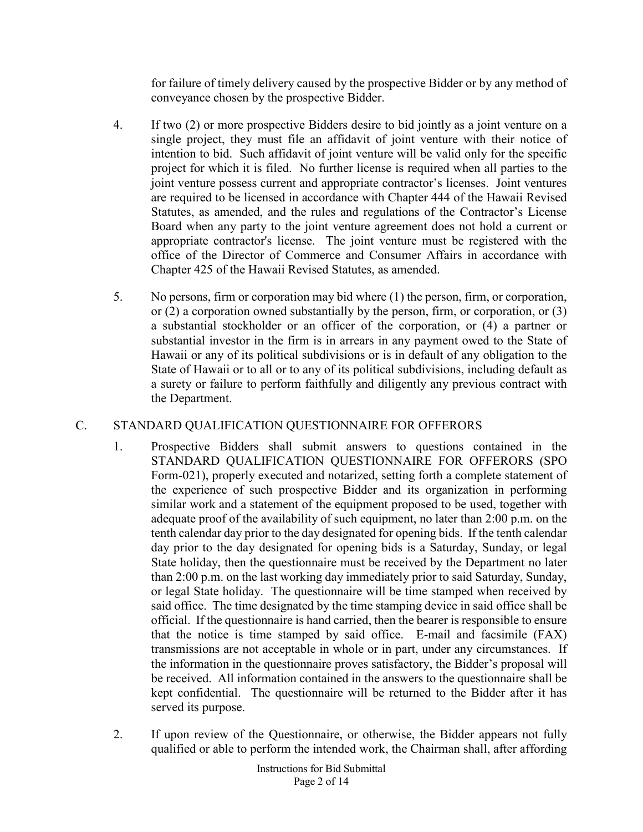for failure of timely delivery caused by the prospective Bidder or by any method of conveyance chosen by the prospective Bidder.

- 4. If two (2) or more prospective Bidders desire to bid jointly as a joint venture on a single project, they must file an affidavit of joint venture with their notice of intention to bid. Such affidavit of joint venture will be valid only for the specific project for which it is filed. No further license is required when all parties to the joint venture possess current and appropriate contractor's licenses. Joint ventures are required to be licensed in accordance with Chapter 444 of the Hawaii Revised Statutes, as amended, and the rules and regulations of the Contractor's License Board when any party to the joint venture agreement does not hold a current or appropriate contractor's license. The joint venture must be registered with the office of the Director of Commerce and Consumer Affairs in accordance with Chapter 425 of the Hawaii Revised Statutes, as amended.
- 5. No persons, firm or corporation may bid where (1) the person, firm, or corporation, or (2) a corporation owned substantially by the person, firm, or corporation, or (3) a substantial stockholder or an officer of the corporation, or (4) a partner or substantial investor in the firm is in arrears in any payment owed to the State of Hawaii or any of its political subdivisions or is in default of any obligation to the State of Hawaii or to all or to any of its political subdivisions, including default as a surety or failure to perform faithfully and diligently any previous contract with the Department.

# C. STANDARD QUALIFICATION QUESTIONNAIRE FOR OFFERORS

- 1. Prospective Bidders shall submit answers to questions contained in the STANDARD QUALIFICATION QUESTIONNAIRE FOR OFFERORS (SPO Form-021), properly executed and notarized, setting forth a complete statement of the experience of such prospective Bidder and its organization in performing similar work and a statement of the equipment proposed to be used, together with adequate proof of the availability of such equipment, no later than 2:00 p.m. on the tenth calendar day prior to the day designated for opening bids. If the tenth calendar day prior to the day designated for opening bids is a Saturday, Sunday, or legal State holiday, then the questionnaire must be received by the Department no later than 2:00 p.m. on the last working day immediately prior to said Saturday, Sunday, or legal State holiday. The questionnaire will be time stamped when received by said office. The time designated by the time stamping device in said office shall be official. If the questionnaire is hand carried, then the bearer is responsible to ensure that the notice is time stamped by said office. E-mail and facsimile (FAX) transmissions are not acceptable in whole or in part, under any circumstances. If the information in the questionnaire proves satisfactory, the Bidder's proposal will be received. All information contained in the answers to the questionnaire shall be kept confidential. The questionnaire will be returned to the Bidder after it has served its purpose.
- 2. If upon review of the Questionnaire, or otherwise, the Bidder appears not fully qualified or able to perform the intended work, the Chairman shall, after affording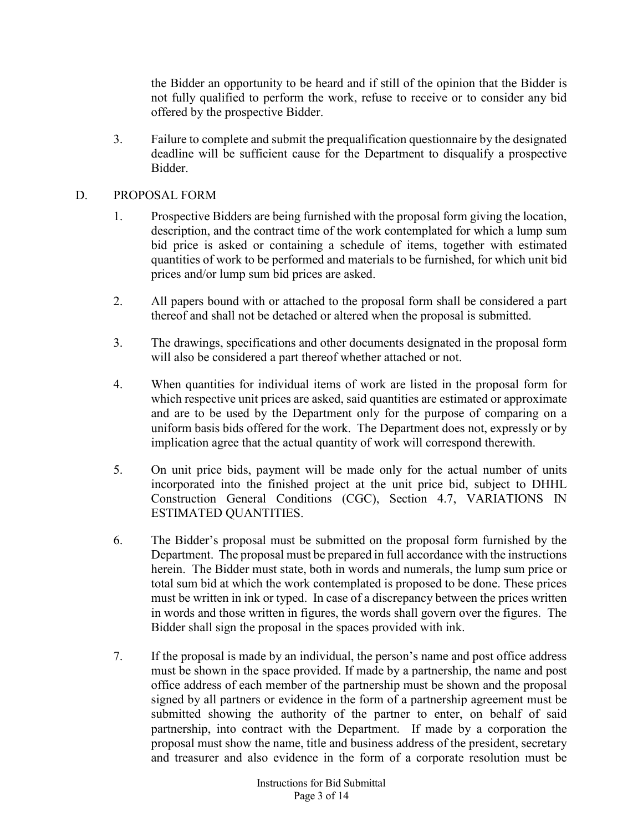the Bidder an opportunity to be heard and if still of the opinion that the Bidder is not fully qualified to perform the work, refuse to receive or to consider any bid offered by the prospective Bidder.

3. Failure to complete and submit the prequalification questionnaire by the designated deadline will be sufficient cause for the Department to disqualify a prospective Bidder.

## D. PROPOSAL FORM

- 1. Prospective Bidders are being furnished with the proposal form giving the location, description, and the contract time of the work contemplated for which a lump sum bid price is asked or containing a schedule of items, together with estimated quantities of work to be performed and materials to be furnished, for which unit bid prices and/or lump sum bid prices are asked.
- 2. All papers bound with or attached to the proposal form shall be considered a part thereof and shall not be detached or altered when the proposal is submitted.
- 3. The drawings, specifications and other documents designated in the proposal form will also be considered a part thereof whether attached or not.
- 4. When quantities for individual items of work are listed in the proposal form for which respective unit prices are asked, said quantities are estimated or approximate and are to be used by the Department only for the purpose of comparing on a uniform basis bids offered for the work. The Department does not, expressly or by implication agree that the actual quantity of work will correspond therewith.
- 5. On unit price bids, payment will be made only for the actual number of units incorporated into the finished project at the unit price bid, subject to DHHL Construction General Conditions (CGC), Section 4.7, VARIATIONS IN ESTIMATED QUANTITIES.
- 6. The Bidder's proposal must be submitted on the proposal form furnished by the Department. The proposal must be prepared in full accordance with the instructions herein. The Bidder must state, both in words and numerals, the lump sum price or total sum bid at which the work contemplated is proposed to be done. These prices must be written in ink or typed. In case of a discrepancy between the prices written in words and those written in figures, the words shall govern over the figures. The Bidder shall sign the proposal in the spaces provided with ink.
- 7. If the proposal is made by an individual, the person's name and post office address must be shown in the space provided. If made by a partnership, the name and post office address of each member of the partnership must be shown and the proposal signed by all partners or evidence in the form of a partnership agreement must be submitted showing the authority of the partner to enter, on behalf of said partnership, into contract with the Department. If made by a corporation the proposal must show the name, title and business address of the president, secretary and treasurer and also evidence in the form of a corporate resolution must be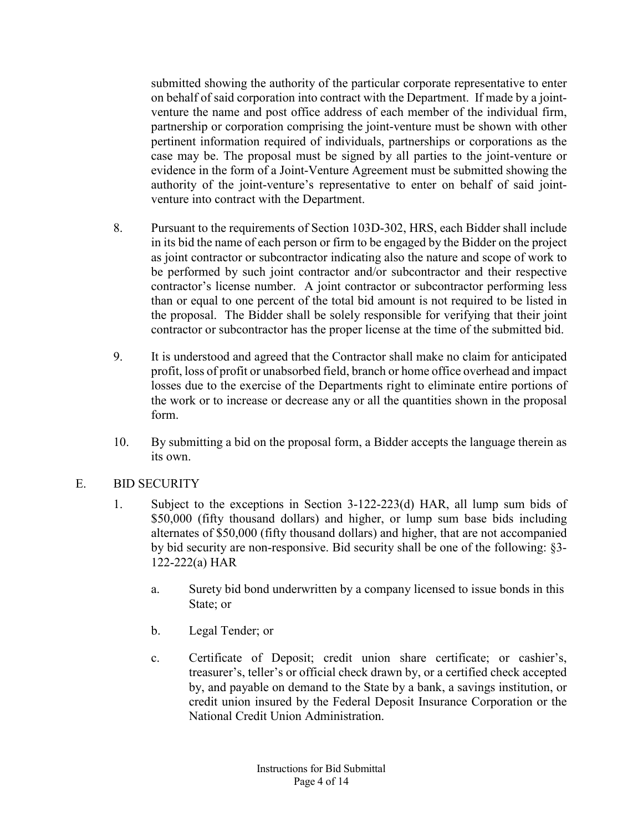submitted showing the authority of the particular corporate representative to enter on behalf of said corporation into contract with the Department. If made by a jointventure the name and post office address of each member of the individual firm, partnership or corporation comprising the joint-venture must be shown with other pertinent information required of individuals, partnerships or corporations as the case may be. The proposal must be signed by all parties to the joint-venture or evidence in the form of a Joint-Venture Agreement must be submitted showing the authority of the joint-venture's representative to enter on behalf of said jointventure into contract with the Department.

- 8. Pursuant to the requirements of Section 103D-302, HRS, each Bidder shall include in its bid the name of each person or firm to be engaged by the Bidder on the project as joint contractor or subcontractor indicating also the nature and scope of work to be performed by such joint contractor and/or subcontractor and their respective contractor's license number. A joint contractor or subcontractor performing less than or equal to one percent of the total bid amount is not required to be listed in the proposal. The Bidder shall be solely responsible for verifying that their joint contractor or subcontractor has the proper license at the time of the submitted bid.
- 9. It is understood and agreed that the Contractor shall make no claim for anticipated profit, loss of profit or unabsorbed field, branch or home office overhead and impact losses due to the exercise of the Departments right to eliminate entire portions of the work or to increase or decrease any or all the quantities shown in the proposal form.
- 10. By submitting a bid on the proposal form, a Bidder accepts the language therein as its own.

## E. BID SECURITY

- 1. Subject to the exceptions in Section 3-122-223(d) HAR, all lump sum bids of \$50,000 (fifty thousand dollars) and higher, or lump sum base bids including alternates of \$50,000 (fifty thousand dollars) and higher, that are not accompanied by bid security are non-responsive. Bid security shall be one of the following: §3- 122-222(a) HAR
	- a. Surety bid bond underwritten by a company licensed to issue bonds in this State; or
	- b. Legal Tender; or
	- c. Certificate of Deposit; credit union share certificate; or cashier's, treasurer's, teller's or official check drawn by, or a certified check accepted by, and payable on demand to the State by a bank, a savings institution, or credit union insured by the Federal Deposit Insurance Corporation or the National Credit Union Administration.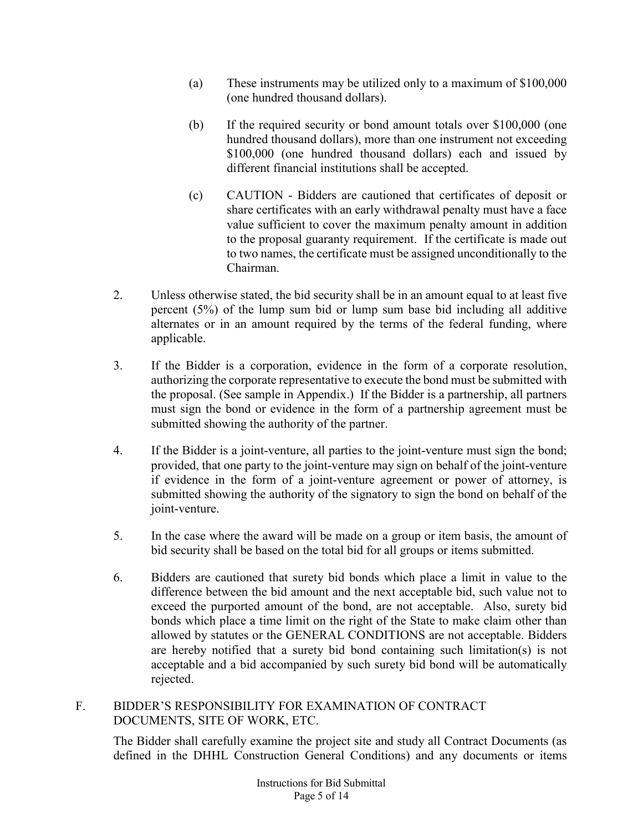- (a) These instruments may be utilized only to a maximum of \$100,000 (one hundred thousand dollars).
- (b) If the required security or bond amount totals over \$100,000 (one hundred thousand dollars), more than one instrument not exceeding \$100,000 (one hundred thousand dollars) each and issued by different financial institutions shall be accepted.
- (c) CAUTION Bidders are cautioned that certificates of deposit or share certificates with an early withdrawal penalty must have a face value sufficient to cover the maximum penalty amount in addition to the proposal guaranty requirement. If the certificate is made out to two names, the certificate must be assigned unconditionally to the Chairman.
- 2. Unless otherwise stated, the bid security shall be in an amount equal to at least five percent (5%) of the lump sum bid or lump sum base bid including all additive alternates or in an amount required by the terms of the federal funding, where applicable.
- 3. If the Bidder is a corporation, evidence in the form of a corporate resolution, authorizing the corporate representative to execute the bond must be submitted with the proposal. (See sample in Appendix.) If the Bidder is a partnership, all partners must sign the bond or evidence in the form of a partnership agreement must be submitted showing the authority of the partner.
- 4. If the Bidder is a joint-venture, all parties to the joint-venture must sign the bond; provided, that one party to the joint-venture may sign on behalf of the joint-venture if evidence in the form of a joint-venture agreement or power of attorney, is submitted showing the authority of the signatory to sign the bond on behalf of the joint-venture.
- 5. In the case where the award will be made on a group or item basis, the amount of bid security shall be based on the total bid for all groups or items submitted.
- 6. Bidders are cautioned that surety bid bonds which place a limit in value to the difference between the bid amount and the next acceptable bid, such value not to exceed the purported amount of the bond, are not acceptable. Also, surety bid bonds which place a time limit on the right of the State to make claim other than allowed by statutes or the GENERAL CONDITIONS are not acceptable. Bidders are hereby notified that a surety bid bond containing such limitation(s) is not acceptable and a bid accompanied by such surety bid bond will be automatically rejected.

## F. BIDDER'S RESPONSIBILITY FOR EXAMINATION OF CONTRACT DOCUMENTS, SITE OF WORK, ETC.

The Bidder shall carefully examine the project site and study all Contract Documents (as defined in the DHHL Construction General Conditions) and any documents or items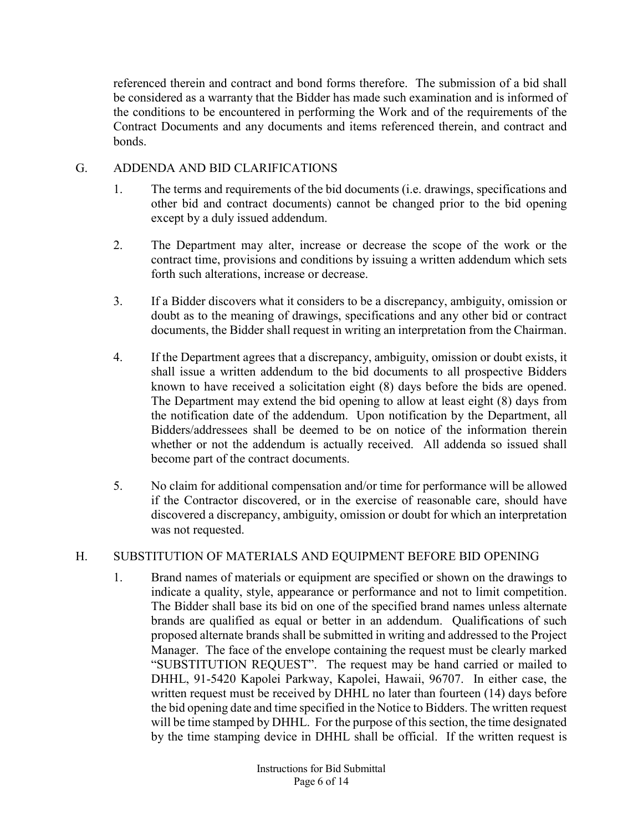referenced therein and contract and bond forms therefore. The submission of a bid shall be considered as a warranty that the Bidder has made such examination and is informed of the conditions to be encountered in performing the Work and of the requirements of the Contract Documents and any documents and items referenced therein, and contract and bonds.

# G. ADDENDA AND BID CLARIFICATIONS

- 1. The terms and requirements of the bid documents (i.e. drawings, specifications and other bid and contract documents) cannot be changed prior to the bid opening except by a duly issued addendum.
- 2. The Department may alter, increase or decrease the scope of the work or the contract time, provisions and conditions by issuing a written addendum which sets forth such alterations, increase or decrease.
- 3. If a Bidder discovers what it considers to be a discrepancy, ambiguity, omission or doubt as to the meaning of drawings, specifications and any other bid or contract documents, the Bidder shall request in writing an interpretation from the Chairman.
- 4. If the Department agrees that a discrepancy, ambiguity, omission or doubt exists, it shall issue a written addendum to the bid documents to all prospective Bidders known to have received a solicitation eight (8) days before the bids are opened. The Department may extend the bid opening to allow at least eight (8) days from the notification date of the addendum. Upon notification by the Department, all Bidders/addressees shall be deemed to be on notice of the information therein whether or not the addendum is actually received. All addenda so issued shall become part of the contract documents.
- 5. No claim for additional compensation and/or time for performance will be allowed if the Contractor discovered, or in the exercise of reasonable care, should have discovered a discrepancy, ambiguity, omission or doubt for which an interpretation was not requested.

## H. SUBSTITUTION OF MATERIALS AND EQUIPMENT BEFORE BID OPENING

1. Brand names of materials or equipment are specified or shown on the drawings to indicate a quality, style, appearance or performance and not to limit competition. The Bidder shall base its bid on one of the specified brand names unless alternate brands are qualified as equal or better in an addendum. Qualifications of such proposed alternate brands shall be submitted in writing and addressed to the Project Manager. The face of the envelope containing the request must be clearly marked "SUBSTITUTION REQUEST". The request may be hand carried or mailed to DHHL, 91-5420 Kapolei Parkway, Kapolei, Hawaii, 96707. In either case, the written request must be received by DHHL no later than fourteen (14) days before the bid opening date and time specified in the Notice to Bidders. The written request will be time stamped by DHHL. For the purpose of this section, the time designated by the time stamping device in DHHL shall be official. If the written request is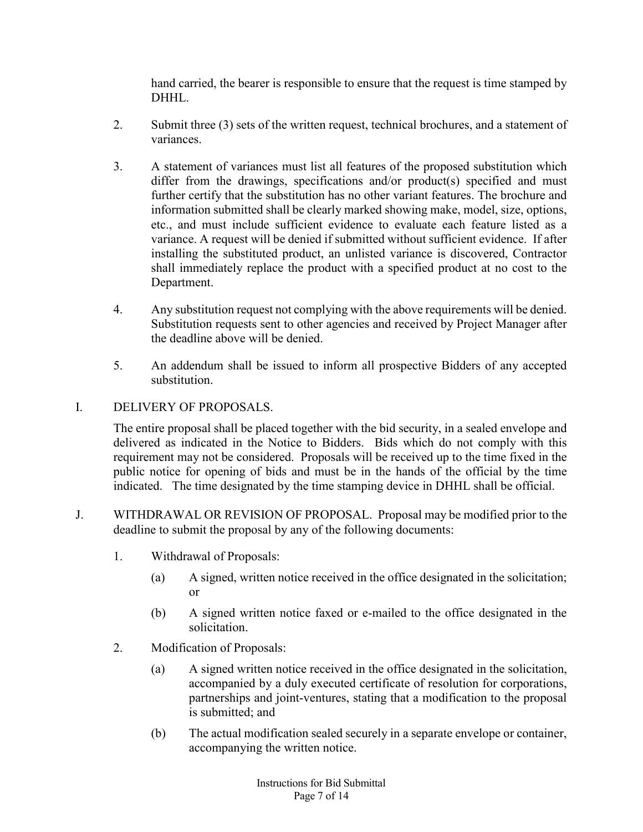hand carried, the bearer is responsible to ensure that the request is time stamped by DHHL.

- 2. Submit three (3) sets of the written request, technical brochures, and a statement of variances.
- 3. A statement of variances must list all features of the proposed substitution which differ from the drawings, specifications and/or product(s) specified and must further certify that the substitution has no other variant features. The brochure and information submitted shall be clearly marked showing make, model, size, options, etc., and must include sufficient evidence to evaluate each feature listed as a variance. A request will be denied if submitted without sufficient evidence. If after installing the substituted product, an unlisted variance is discovered, Contractor shall immediately replace the product with a specified product at no cost to the Department.
- 4. Any substitution request not complying with the above requirements will be denied. Substitution requests sent to other agencies and received by Project Manager after the deadline above will be denied.
- 5. An addendum shall be issued to inform all prospective Bidders of any accepted substitution.
- I. DELIVERY OF PROPOSALS.

The entire proposal shall be placed together with the bid security, in a sealed envelope and delivered as indicated in the Notice to Bidders. Bids which do not comply with this requirement may not be considered. Proposals will be received up to the time fixed in the public notice for opening of bids and must be in the hands of the official by the time indicated. The time designated by the time stamping device in DHHL shall be official.

- J. WITHDRAWAL OR REVISION OF PROPOSAL. Proposal may be modified prior to the deadline to submit the proposal by any of the following documents:
	- 1. Withdrawal of Proposals:
		- (a) A signed, written notice received in the office designated in the solicitation; or
		- (b) A signed written notice faxed or e-mailed to the office designated in the solicitation.
	- 2. Modification of Proposals:
		- (a) A signed written notice received in the office designated in the solicitation, accompanied by a duly executed certificate of resolution for corporations, partnerships and joint-ventures, stating that a modification to the proposal is submitted; and
		- (b) The actual modification sealed securely in a separate envelope or container, accompanying the written notice.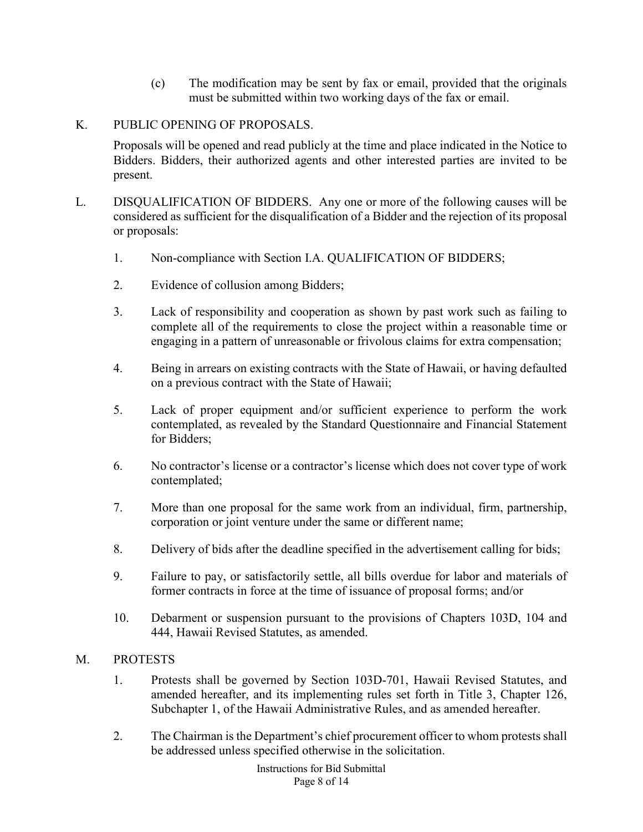- (c) The modification may be sent by fax or email, provided that the originals must be submitted within two working days of the fax or email.
- K. PUBLIC OPENING OF PROPOSALS.

Proposals will be opened and read publicly at the time and place indicated in the Notice to Bidders. Bidders, their authorized agents and other interested parties are invited to be present.

- L. DISQUALIFICATION OF BIDDERS. Any one or more of the following causes will be considered as sufficient for the disqualification of a Bidder and the rejection of its proposal or proposals:
	- 1. Non-compliance with Section I.A. QUALIFICATION OF BIDDERS;
	- 2. Evidence of collusion among Bidders;
	- 3. Lack of responsibility and cooperation as shown by past work such as failing to complete all of the requirements to close the project within a reasonable time or engaging in a pattern of unreasonable or frivolous claims for extra compensation;
	- 4. Being in arrears on existing contracts with the State of Hawaii, or having defaulted on a previous contract with the State of Hawaii;
	- 5. Lack of proper equipment and/or sufficient experience to perform the work contemplated, as revealed by the Standard Questionnaire and Financial Statement for Bidders;
	- 6. No contractor's license or a contractor's license which does not cover type of work contemplated;
	- 7. More than one proposal for the same work from an individual, firm, partnership, corporation or joint venture under the same or different name;
	- 8. Delivery of bids after the deadline specified in the advertisement calling for bids;
	- 9. Failure to pay, or satisfactorily settle, all bills overdue for labor and materials of former contracts in force at the time of issuance of proposal forms; and/or
	- 10. Debarment or suspension pursuant to the provisions of Chapters 103D, 104 and 444, Hawaii Revised Statutes, as amended.

## M. PROTESTS

- 1. Protests shall be governed by Section 103D-701, Hawaii Revised Statutes, and amended hereafter, and its implementing rules set forth in Title 3, Chapter 126, Subchapter 1, of the Hawaii Administrative Rules, and as amended hereafter.
- 2. The Chairman is the Department's chief procurement officer to whom protests shall be addressed unless specified otherwise in the solicitation.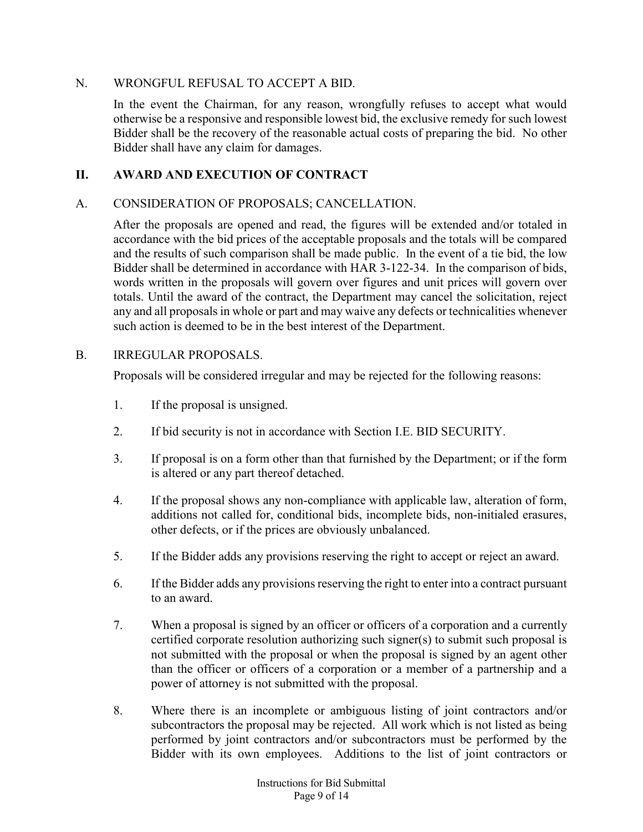#### N. WRONGFUL REFUSAL TO ACCEPT A BID.

In the event the Chairman, for any reason, wrongfully refuses to accept what would otherwise be a responsive and responsible lowest bid, the exclusive remedy for such lowest Bidder shall be the recovery of the reasonable actual costs of preparing the bid. No other Bidder shall have any claim for damages.

## **II. AWARD AND EXECUTION OF CONTRACT**

#### A. CONSIDERATION OF PROPOSALS; CANCELLATION.

After the proposals are opened and read, the figures will be extended and/or totaled in accordance with the bid prices of the acceptable proposals and the totals will be compared and the results of such comparison shall be made public. In the event of a tie bid, the low Bidder shall be determined in accordance with HAR 3-122-34. In the comparison of bids, words written in the proposals will govern over figures and unit prices will govern over totals. Until the award of the contract, the Department may cancel the solicitation, reject any and all proposals in whole or part and may waive any defects or technicalities whenever such action is deemed to be in the best interest of the Department.

#### B. IRREGULAR PROPOSALS.

Proposals will be considered irregular and may be rejected for the following reasons:

- 1. If the proposal is unsigned.
- 2. If bid security is not in accordance with Section I.E. BID SECURITY.
- 3. If proposal is on a form other than that furnished by the Department; or if the form is altered or any part thereof detached.
- 4. If the proposal shows any non-compliance with applicable law, alteration of form, additions not called for, conditional bids, incomplete bids, non-initialed erasures, other defects, or if the prices are obviously unbalanced.
- 5. If the Bidder adds any provisions reserving the right to accept or reject an award.
- 6. If the Bidder adds any provisions reserving the right to enter into a contract pursuant to an award.
- 7. When a proposal is signed by an officer or officers of a corporation and a currently certified corporate resolution authorizing such signer(s) to submit such proposal is not submitted with the proposal or when the proposal is signed by an agent other than the officer or officers of a corporation or a member of a partnership and a power of attorney is not submitted with the proposal.
- 8. Where there is an incomplete or ambiguous listing of joint contractors and/or subcontractors the proposal may be rejected. All work which is not listed as being performed by joint contractors and/or subcontractors must be performed by the Bidder with its own employees. Additions to the list of joint contractors or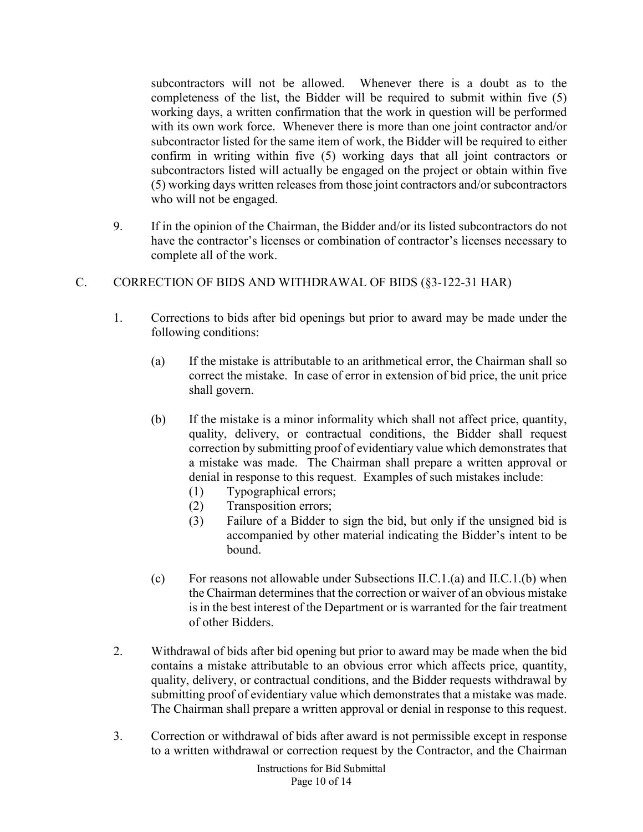subcontractors will not be allowed. Whenever there is a doubt as to the completeness of the list, the Bidder will be required to submit within five (5) working days, a written confirmation that the work in question will be performed with its own work force. Whenever there is more than one joint contractor and/or subcontractor listed for the same item of work, the Bidder will be required to either confirm in writing within five (5) working days that all joint contractors or subcontractors listed will actually be engaged on the project or obtain within five (5) working days written releases from those joint contractors and/or subcontractors who will not be engaged.

- 9. If in the opinion of the Chairman, the Bidder and/or its listed subcontractors do not have the contractor's licenses or combination of contractor's licenses necessary to complete all of the work.
- C. CORRECTION OF BIDS AND WITHDRAWAL OF BIDS (§3-122-31 HAR)
	- 1. Corrections to bids after bid openings but prior to award may be made under the following conditions:
		- (a) If the mistake is attributable to an arithmetical error, the Chairman shall so correct the mistake. In case of error in extension of bid price, the unit price shall govern.
		- (b) If the mistake is a minor informality which shall not affect price, quantity, quality, delivery, or contractual conditions, the Bidder shall request correction by submitting proof of evidentiary value which demonstrates that a mistake was made. The Chairman shall prepare a written approval or denial in response to this request. Examples of such mistakes include:
			- (1) Typographical errors;
			- (2) Transposition errors;
			- (3) Failure of a Bidder to sign the bid, but only if the unsigned bid is accompanied by other material indicating the Bidder's intent to be bound.
		- (c) For reasons not allowable under Subsections II.C.1.(a) and II.C.1.(b) when the Chairman determines that the correction or waiver of an obvious mistake is in the best interest of the Department or is warranted for the fair treatment of other Bidders.
	- 2. Withdrawal of bids after bid opening but prior to award may be made when the bid contains a mistake attributable to an obvious error which affects price, quantity, quality, delivery, or contractual conditions, and the Bidder requests withdrawal by submitting proof of evidentiary value which demonstrates that a mistake was made. The Chairman shall prepare a written approval or denial in response to this request.
	- 3. Correction or withdrawal of bids after award is not permissible except in response to a written withdrawal or correction request by the Contractor, and the Chairman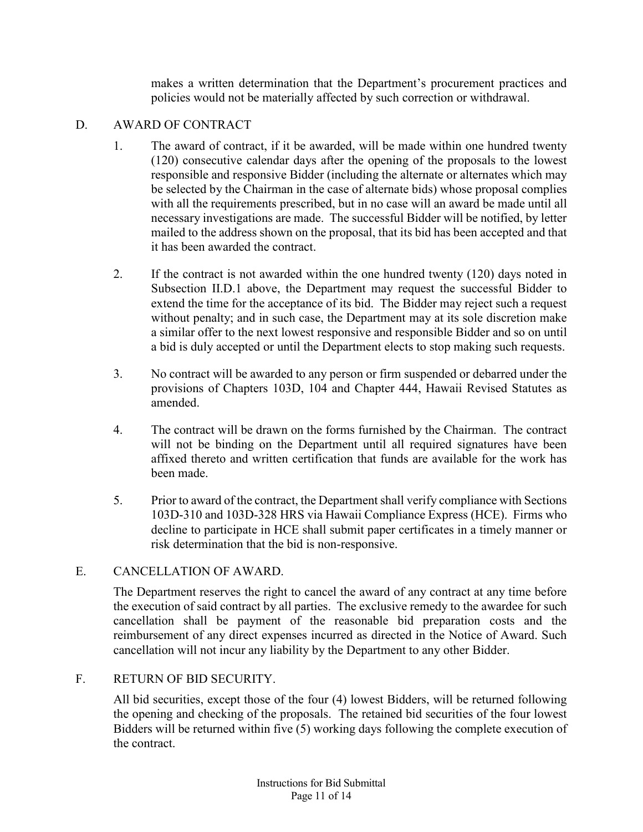makes a written determination that the Department's procurement practices and policies would not be materially affected by such correction or withdrawal.

## D. AWARD OF CONTRACT

- 1. The award of contract, if it be awarded, will be made within one hundred twenty (120) consecutive calendar days after the opening of the proposals to the lowest responsible and responsive Bidder (including the alternate or alternates which may be selected by the Chairman in the case of alternate bids) whose proposal complies with all the requirements prescribed, but in no case will an award be made until all necessary investigations are made. The successful Bidder will be notified, by letter mailed to the address shown on the proposal, that its bid has been accepted and that it has been awarded the contract.
- 2. If the contract is not awarded within the one hundred twenty (120) days noted in Subsection II.D.1 above, the Department may request the successful Bidder to extend the time for the acceptance of its bid. The Bidder may reject such a request without penalty; and in such case, the Department may at its sole discretion make a similar offer to the next lowest responsive and responsible Bidder and so on until a bid is duly accepted or until the Department elects to stop making such requests.
- 3. No contract will be awarded to any person or firm suspended or debarred under the provisions of Chapters 103D, 104 and Chapter 444, Hawaii Revised Statutes as amended.
- 4. The contract will be drawn on the forms furnished by the Chairman. The contract will not be binding on the Department until all required signatures have been affixed thereto and written certification that funds are available for the work has been made.
- 5. Prior to award of the contract, the Department shall verify compliance with Sections 103D-310 and 103D-328 HRS via Hawaii Compliance Express (HCE). Firms who decline to participate in HCE shall submit paper certificates in a timely manner or risk determination that the bid is non-responsive.

## E. CANCELLATION OF AWARD.

The Department reserves the right to cancel the award of any contract at any time before the execution of said contract by all parties. The exclusive remedy to the awardee for such cancellation shall be payment of the reasonable bid preparation costs and the reimbursement of any direct expenses incurred as directed in the Notice of Award. Such cancellation will not incur any liability by the Department to any other Bidder.

## F. RETURN OF BID SECURITY.

All bid securities, except those of the four (4) lowest Bidders, will be returned following the opening and checking of the proposals. The retained bid securities of the four lowest Bidders will be returned within five (5) working days following the complete execution of the contract.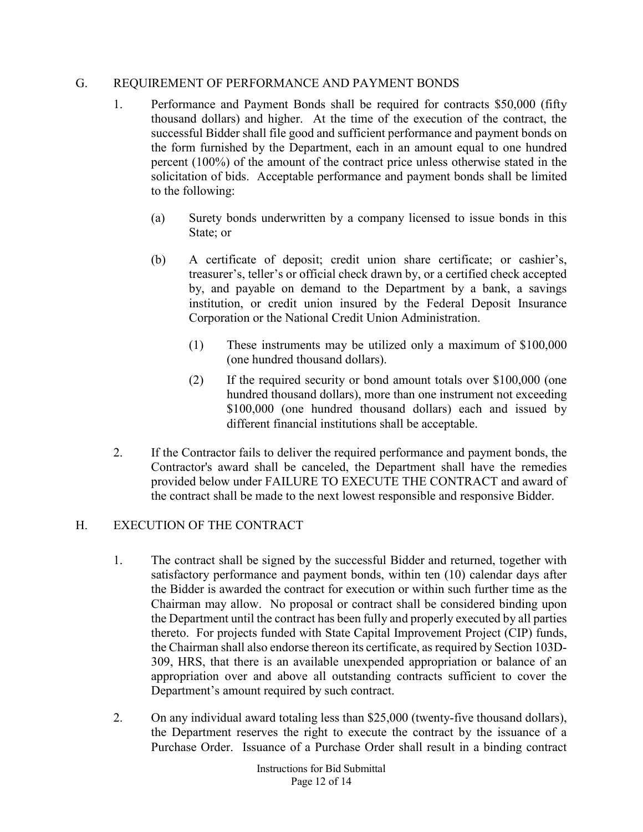## G. REQUIREMENT OF PERFORMANCE AND PAYMENT BONDS

- 1. Performance and Payment Bonds shall be required for contracts \$50,000 (fifty thousand dollars) and higher. At the time of the execution of the contract, the successful Bidder shall file good and sufficient performance and payment bonds on the form furnished by the Department, each in an amount equal to one hundred percent (100%) of the amount of the contract price unless otherwise stated in the solicitation of bids. Acceptable performance and payment bonds shall be limited to the following:
	- (a) Surety bonds underwritten by a company licensed to issue bonds in this State; or
	- (b) A certificate of deposit; credit union share certificate; or cashier's, treasurer's, teller's or official check drawn by, or a certified check accepted by, and payable on demand to the Department by a bank, a savings institution, or credit union insured by the Federal Deposit Insurance Corporation or the National Credit Union Administration.
		- (1) These instruments may be utilized only a maximum of \$100,000 (one hundred thousand dollars).
		- (2) If the required security or bond amount totals over \$100,000 (one hundred thousand dollars), more than one instrument not exceeding \$100,000 (one hundred thousand dollars) each and issued by different financial institutions shall be acceptable.
- 2. If the Contractor fails to deliver the required performance and payment bonds, the Contractor's award shall be canceled, the Department shall have the remedies provided below under FAILURE TO EXECUTE THE CONTRACT and award of the contract shall be made to the next lowest responsible and responsive Bidder.

# H. EXECUTION OF THE CONTRACT

- 1. The contract shall be signed by the successful Bidder and returned, together with satisfactory performance and payment bonds, within ten (10) calendar days after the Bidder is awarded the contract for execution or within such further time as the Chairman may allow. No proposal or contract shall be considered binding upon the Department until the contract has been fully and properly executed by all parties thereto. For projects funded with State Capital Improvement Project (CIP) funds, the Chairman shall also endorse thereon its certificate, as required by Section 103D-309, HRS, that there is an available unexpended appropriation or balance of an appropriation over and above all outstanding contracts sufficient to cover the Department's amount required by such contract.
- 2. On any individual award totaling less than \$25,000 (twenty-five thousand dollars), the Department reserves the right to execute the contract by the issuance of a Purchase Order. Issuance of a Purchase Order shall result in a binding contract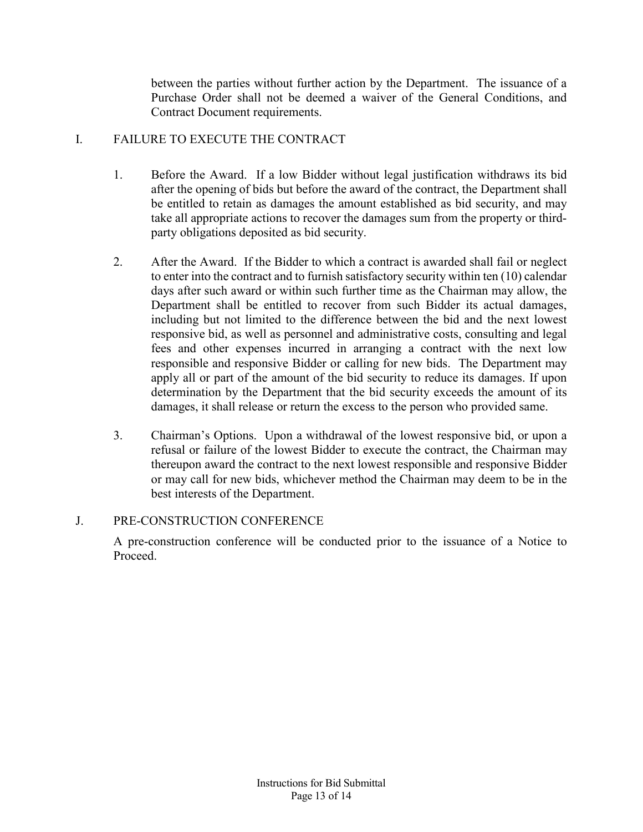between the parties without further action by the Department. The issuance of a Purchase Order shall not be deemed a waiver of the General Conditions, and Contract Document requirements.

# I. FAILURE TO EXECUTE THE CONTRACT

- 1. Before the Award. If a low Bidder without legal justification withdraws its bid after the opening of bids but before the award of the contract, the Department shall be entitled to retain as damages the amount established as bid security, and may take all appropriate actions to recover the damages sum from the property or thirdparty obligations deposited as bid security.
- 2. After the Award. If the Bidder to which a contract is awarded shall fail or neglect to enter into the contract and to furnish satisfactory security within ten (10) calendar days after such award or within such further time as the Chairman may allow, the Department shall be entitled to recover from such Bidder its actual damages, including but not limited to the difference between the bid and the next lowest responsive bid, as well as personnel and administrative costs, consulting and legal fees and other expenses incurred in arranging a contract with the next low responsible and responsive Bidder or calling for new bids. The Department may apply all or part of the amount of the bid security to reduce its damages. If upon determination by the Department that the bid security exceeds the amount of its damages, it shall release or return the excess to the person who provided same.
- 3. Chairman's Options. Upon a withdrawal of the lowest responsive bid, or upon a refusal or failure of the lowest Bidder to execute the contract, the Chairman may thereupon award the contract to the next lowest responsible and responsive Bidder or may call for new bids, whichever method the Chairman may deem to be in the best interests of the Department.

## J. PRE-CONSTRUCTION CONFERENCE

A pre-construction conference will be conducted prior to the issuance of a Notice to Proceed.